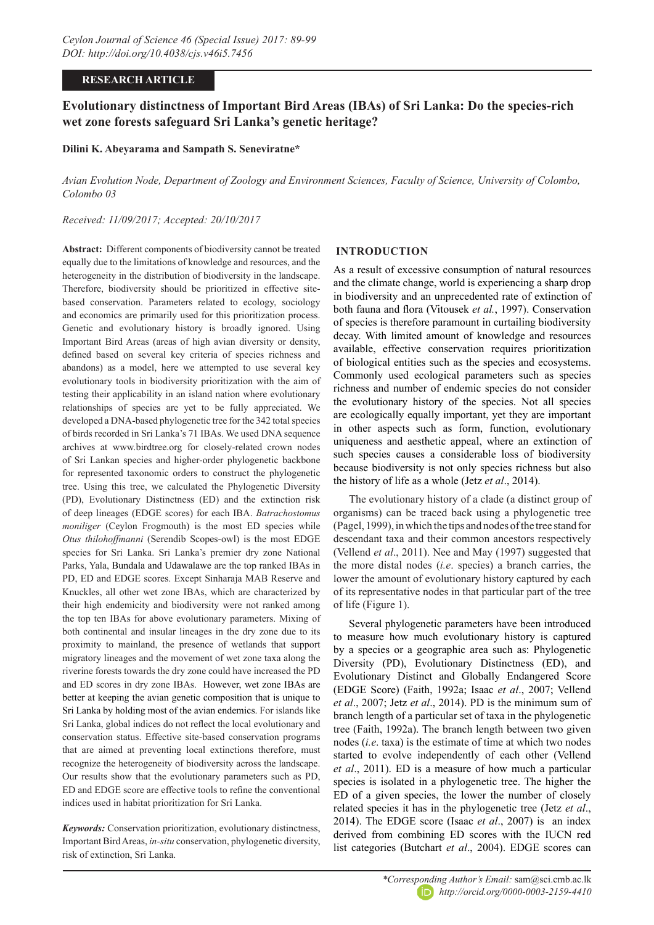## **RESEARCH ARTICLE**

# **Evolutionary distinctness of Important Bird Areas (IBAs) of Sri Lanka: Do the species-rich wet zone forests safeguard Sri Lanka's genetic heritage?**

## **Dilini K. Abeyarama and Sampath S. Seneviratne\***

*Avian Evolution Node, Department of Zoology and Environment Sciences, Faculty of Science, University of Colombo, Colombo 03*

*Received: 11/09/2017; Accepted: 20/10/2017*

**Abstract:** Different components of biodiversity cannot be treated equally due to the limitations of knowledge and resources, and the heterogeneity in the distribution of biodiversity in the landscape. Therefore, biodiversity should be prioritized in effective sitebased conservation. Parameters related to ecology, sociology and economics are primarily used for this prioritization process. Genetic and evolutionary history is broadly ignored. Using Important Bird Areas (areas of high avian diversity or density, defined based on several key criteria of species richness and abandons) as a model, here we attempted to use several key evolutionary tools in biodiversity prioritization with the aim of testing their applicability in an island nation where evolutionary relationships of species are yet to be fully appreciated. We developed a DNA-based phylogenetic tree for the 342 total species of birds recorded in Sri Lanka's 71 IBAs. We used DNA sequence archives at www.birdtree.org for closely-related crown nodes of Sri Lankan species and higher-order phylogenetic backbone for represented taxonomic orders to construct the phylogenetic tree. Using this tree, we calculated the Phylogenetic Diversity (PD), Evolutionary Distinctness (ED) and the extinction risk of deep lineages (EDGE scores) for each IBA. *Batrachostomus moniliger* (Ceylon Frogmouth) is the most ED species while *Otus thilohoffmanni* (Serendib Scopes-owl) is the most EDGE species for Sri Lanka. Sri Lanka's premier dry zone National Parks, Yala, Bundala and Udawalawe are the top ranked IBAs in PD, ED and EDGE scores. Except Sinharaja MAB Reserve and Knuckles, all other wet zone IBAs, which are characterized by their high endemicity and biodiversity were not ranked among the top ten IBAs for above evolutionary parameters. Mixing of both continental and insular lineages in the dry zone due to its proximity to mainland, the presence of wetlands that support migratory lineages and the movement of wet zone taxa along the riverine forests towards the dry zone could have increased the PD and ED scores in dry zone IBAs. However, wet zone IBAs are better at keeping the avian genetic composition that is unique to Sri Lanka by holding most of the avian endemics. For islands like Sri Lanka, global indices do not reflect the local evolutionary and conservation status. Effective site-based conservation programs that are aimed at preventing local extinctions therefore, must recognize the heterogeneity of biodiversity across the landscape. Our results show that the evolutionary parameters such as PD, ED and EDGE score are effective tools to refine the conventional indices used in habitat prioritization for Sri Lanka.

*Keywords:* Conservation prioritization, evolutionary distinctness, Important Bird Areas, *in-situ* conservation, phylogenetic diversity, risk of extinction, Sri Lanka.

## **INTRODUCTION**

As a result of excessive consumption of natural resources and the climate change, world is experiencing a sharp drop in biodiversity and an unprecedented rate of extinction of both fauna and flora (Vitousek *et al.*, 1997). Conservation of species is therefore paramount in curtailing biodiversity decay. With limited amount of knowledge and resources available, effective conservation requires prioritization of biological entities such as the species and ecosystems. Commonly used ecological parameters such as species richness and number of endemic species do not consider the evolutionary history of the species. Not all species are ecologically equally important, yet they are important in other aspects such as form, function, evolutionary uniqueness and aesthetic appeal, where an extinction of such species causes a considerable loss of biodiversity because biodiversity is not only species richness but also the history of life as a whole (Jetz *et al*., 2014).

The evolutionary history of a clade (a distinct group of organisms) can be traced back using a phylogenetic tree (Pagel, 1999), in which the tips and nodes of the tree stand for descendant taxa and their common ancestors respectively (Vellend *et al*., 2011). Nee and May (1997) suggested that the more distal nodes (*i.e*. species) a branch carries, the lower the amount of evolutionary history captured by each of its representative nodes in that particular part of the tree of life (Figure 1).

Several phylogenetic parameters have been introduced to measure how much evolutionary history is captured by a species or a geographic area such as: Phylogenetic Diversity (PD), Evolutionary Distinctness (ED), and Evolutionary Distinct and Globally Endangered Score (EDGE Score) (Faith, 1992a; Isaac *et al*., 2007; Vellend *et al*., 2007; Jetz *et al*., 2014). PD is the minimum sum of branch length of a particular set of taxa in the phylogenetic tree (Faith, 1992a). The branch length between two given nodes (*i.e*. taxa) is the estimate of time at which two nodes started to evolve independently of each other (Vellend *et al*., 2011). ED is a measure of how much a particular species is isolated in a phylogenetic tree. The higher the ED of a given species, the lower the number of closely related species it has in the phylogenetic tree (Jetz *et al*., 2014). The EDGE score (Isaac *et al*., 2007) is an index derived from combining ED scores with the IUCN red list categories (Butchart *et al*., 2004). EDGE scores can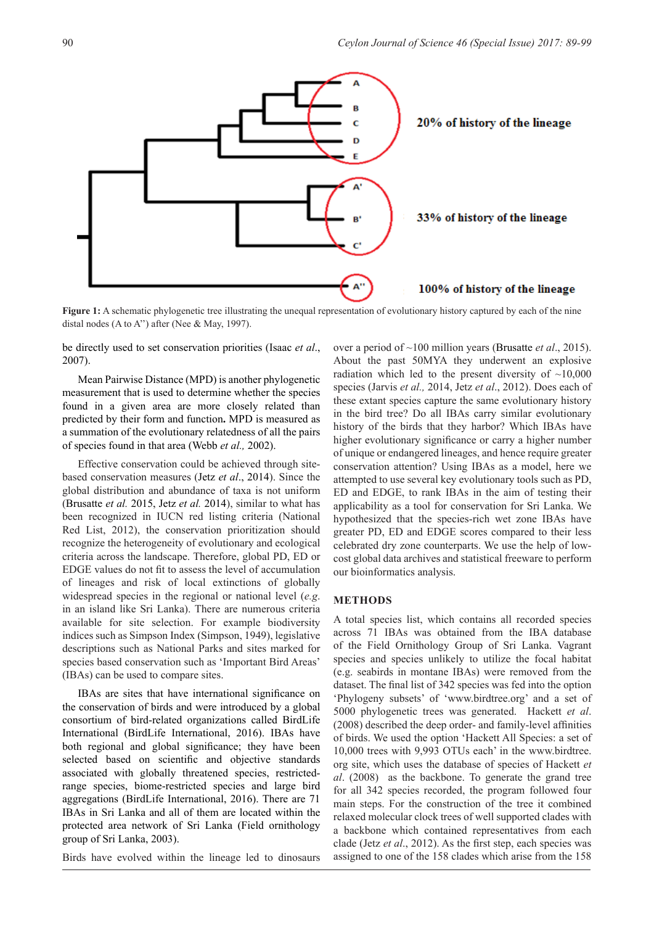

**Figure 1:** A schematic phylogenetic tree illustrating the unequal representation of evolutionary history captured by each of the nine distal nodes (A to A'') after (Nee & May, 1997).

be directly used to set conservation priorities (Isaac *et al*., 2007).

Mean Pairwise Distance (MPD) is another phylogenetic measurement that is used to determine whether the species found in a given area are more closely related than predicted by their form and function**.** MPD is measured as a summation of the evolutionary relatedness of all the pairs of species found in that area (Webb *et al.,* 2002).

Effective conservation could be achieved through sitebased conservation measures (Jetz *et al*., 2014). Since the global distribution and abundance of taxa is not uniform (Brusatte *et al.* 2015, Jetz *et al.* 2014), similar to what has been recognized in IUCN red listing criteria (National Red List, 2012), the conservation prioritization should recognize the heterogeneity of evolutionary and ecological criteria across the landscape. Therefore, global PD, ED or EDGE values do not fit to assess the level of accumulation of lineages and risk of local extinctions of globally widespread species in the regional or national level (*e.g*. in an island like Sri Lanka). There are numerous criteria available for site selection. For example biodiversity indices such as Simpson Index (Simpson, 1949), legislative descriptions such as National Parks and sites marked for species based conservation such as 'Important Bird Areas' (IBAs) can be used to compare sites.

IBAs are sites that have international significance on the conservation of birds and were introduced by a global consortium of bird-related organizations called BirdLife International (BirdLife International, 2016). IBAs have both regional and global significance; they have been selected based on scientific and objective standards associated with globally threatened species, restrictedrange species, biome-restricted species and large bird aggregations (BirdLife International, 2016). There are 71 IBAs in Sri Lanka and all of them are located within the protected area network of Sri Lanka (Field ornithology group of Sri Lanka, 2003).

Birds have evolved within the lineage led to dinosaurs

over a period of ~100 million years (Brusatte *et al*., 2015). About the past 50MYA they underwent an explosive radiation which led to the present diversity of  $\sim$ 10,000 species (Jarvis *et al.,* 2014, Jetz *et al*., 2012). Does each of these extant species capture the same evolutionary history in the bird tree? Do all IBAs carry similar evolutionary history of the birds that they harbor? Which IBAs have higher evolutionary significance or carry a higher number of unique or endangered lineages, and hence require greater conservation attention? Using IBAs as a model, here we attempted to use several key evolutionary tools such as PD, ED and EDGE, to rank IBAs in the aim of testing their applicability as a tool for conservation for Sri Lanka. We hypothesized that the species-rich wet zone IBAs have greater PD, ED and EDGE scores compared to their less celebrated dry zone counterparts. We use the help of lowcost global data archives and statistical freeware to perform our bioinformatics analysis.

#### **METHODS**

A total species list, which contains all recorded species across 71 IBAs was obtained from the IBA database of the Field Ornithology Group of Sri Lanka. Vagrant species and species unlikely to utilize the focal habitat (e.g. seabirds in montane IBAs) were removed from the dataset. The final list of 342 species was fed into the option 'Phylogeny subsets' of 'www.birdtree.org' and a set of 5000 phylogenetic trees was generated. Hackett *et al*. (2008) described the deep order- and family-level affinities of birds. We used the option 'Hackett All Species: a set of 10,000 trees with 9,993 OTUs each' in the www.birdtree. org site, which uses the database of species of Hackett *et al*. (2008) as the backbone. To generate the grand tree for all 342 species recorded, the program followed four main steps. For the construction of the tree it combined relaxed molecular clock trees of well supported clades with a backbone which contained representatives from each clade (Jetz *et al*., 2012). As the first step, each species was assigned to one of the 158 clades which arise from the 158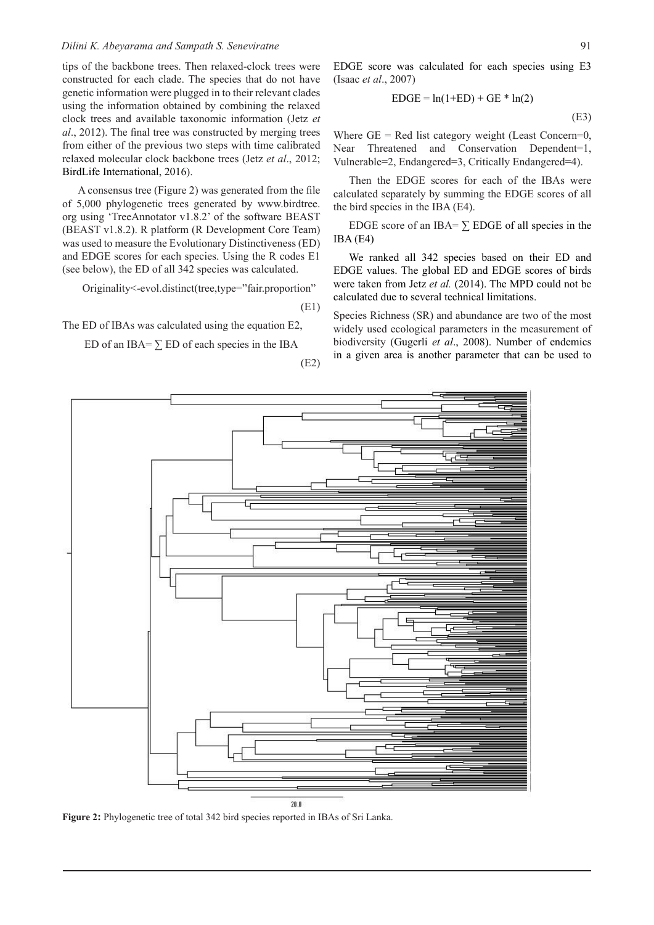#### *Dilini K. Abeyarama and Sampath S. Seneviratne*

tips of the backbone trees. Then relaxed-clock trees were constructed for each clade. The species that do not have genetic information were plugged in to their relevant clades using the information obtained by combining the relaxed clock trees and available taxonomic information (Jetz *et al*., 2012). The final tree was constructed by merging trees from either of the previous two steps with time calibrated relaxed molecular clock backbone trees (Jetz *et al*., 2012; BirdLife International, 2016).

A consensus tree (Figure 2) was generated from the file of 5,000 phylogenetic trees generated by www.birdtree. org using 'TreeAnnotator v1.8.2' of the software BEAST (BEAST v1.8.2). R platform (R Development Core Team) was used to measure the Evolutionary Distinctiveness (ED) and EDGE scores for each species. Using the R codes E1 (see below), the ED of all 342 species was calculated.

Originality<-evol.distinct(tree,type="fair.proportion"

(E1)

The ED of IBAs was calculated using the equation E2,

ED of an IBA=  $\Sigma$  ED of each species in the IBA

(E2)

$$
EDGE = \ln(1+ED) + GE * \ln(2)
$$
\n<sup>(E3)</sup>

Where  $GE = Red$  list category weight (Least Concern=0, Near Threatened and Conservation Dependent=1, Vulnerable=2, Endangered=3, Critically Endangered=4).

Then the EDGE scores for each of the IBAs were calculated separately by summing the EDGE scores of all the bird species in the IBA (E4).

EDGE score of an IBA=  $\Sigma$  EDGE of all species in the IBA (E4)

We ranked all 342 species based on their ED and EDGE values. The global ED and EDGE scores of birds were taken from Jetz *et al.* (2014). The MPD could not be calculated due to several technical limitations.

Species Richness (SR) and abundance are two of the most widely used ecological parameters in the measurement of biodiversity (Gugerli *et al*., 2008). Number of endemics in a given area is another parameter that can be used to



**Figure 2:** Phylogenetic tree of total 342 bird species reported in IBAs of Sri Lanka.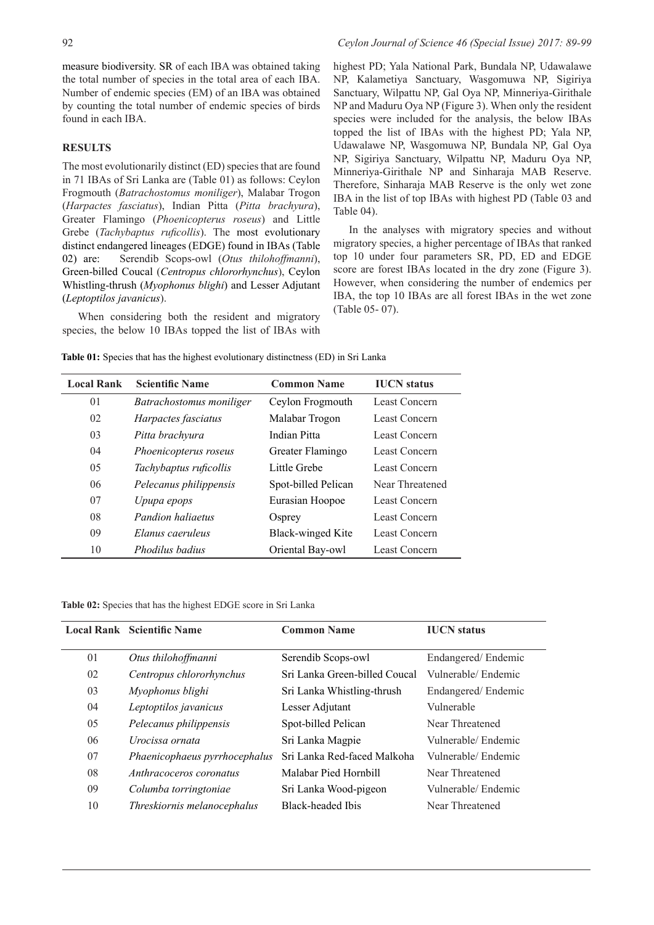measure biodiversity. SR of each IBA was obtained taking the total number of species in the total area of each IBA. Number of endemic species (EM) of an IBA was obtained by counting the total number of endemic species of birds found in each IBA.

#### **RESULTS**

The most evolutionarily distinct (ED) species that are found in 71 IBAs of Sri Lanka are (Table 01) as follows: Ceylon Frogmouth (*Batrachostomus moniliger*), Malabar Trogon (*Harpactes fasciatus*), Indian Pitta (*Pitta brachyura*), Greater Flamingo (*Phoenicopterus roseus*) and Little Grebe (*Tachybaptus ruficollis*). The most evolutionary distinct endangered lineages (EDGE) found in IBAs (Table 02) are: Serendib Scops-owl (*Otus thilohoffmanni*), Green-billed Coucal (*Centropus chlororhynchus*), Ceylon Whistling-thrush (*Myophonus blighi*) and Lesser Adjutant (*Leptoptilos javanicus*).

When considering both the resident and migratory species, the below 10 IBAs topped the list of IBAs with

## 92 *Ceylon Journal of Science 46 (Special Issue) 2017: 89-99*

highest PD; Yala National Park, Bundala NP, Udawalawe NP, Kalametiya Sanctuary, Wasgomuwa NP, Sigiriya Sanctuary, Wilpattu NP, Gal Oya NP, Minneriya-Girithale NP and Maduru Oya NP (Figure 3). When only the resident species were included for the analysis, the below IBAs topped the list of IBAs with the highest PD; Yala NP, Udawalawe NP, Wasgomuwa NP, Bundala NP, Gal Oya NP, Sigiriya Sanctuary, Wilpattu NP, Maduru Oya NP, Minneriya-Girithale NP and Sinharaja MAB Reserve. Therefore, Sinharaja MAB Reserve is the only wet zone IBA in the list of top IBAs with highest PD (Table 03 and Table 04).

In the analyses with migratory species and without migratory species, a higher percentage of IBAs that ranked top 10 under four parameters SR, PD, ED and EDGE score are forest IBAs located in the dry zone (Figure 3). However, when considering the number of endemics per IBA, the top 10 IBAs are all forest IBAs in the wet zone (Table 05- 07).

**Table 01:** Species that has the highest evolutionary distinctness (ED) in Sri Lanka

| <b>Local Rank</b> | <b>Scientific Name</b>   | <b>Common Name</b>  | <b>IUCN</b> status |  |
|-------------------|--------------------------|---------------------|--------------------|--|
| 0 <sup>1</sup>    | Batrachostomus moniliger | Ceylon Frogmouth    | Least Concern      |  |
| 02                | Harpactes fasciatus      | Malabar Trogon      | Least Concern      |  |
| 03                | Pitta brachvura          | <b>Indian Pitta</b> | Least Concern      |  |
| 04                | Phoenicopterus roseus    | Greater Flamingo    | Least Concern      |  |
| 05                | Tachybaptus ruficollis   | Little Grebe        | Least Concern      |  |
| 06                | Pelecanus philippensis   | Spot-billed Pelican | Near Threatened    |  |
| 07                | Upupa epops              | Eurasian Hoopoe     | Least Concern      |  |
| 08                | Pandion haliaetus        | Osprey              | Least Concern      |  |
| 09                | Elanus caeruleus         | Black-winged Kite   | Least Concern      |  |
| 10                | Phodilus badius          | Oriental Bay-owl    | Least Concern      |  |

**Table 02:** Species that has the highest EDGE score in Sri Lanka

|    | <b>Local Rank Scientific Name</b> | <b>Common Name</b>            | <b>IUCN</b> status  |
|----|-----------------------------------|-------------------------------|---------------------|
| 01 | Otus thilohoffmanni               | Serendib Scops-owl            | Endangered/Endemic  |
| 02 | Centropus chlororhynchus          | Sri Lanka Green-billed Coucal | Vulnerable/Endemic  |
| 03 | Myophonus blighi                  | Sri Lanka Whistling-thrush    | Endangered/Endemic  |
| 04 | Leptoptilos javanicus             | Lesser Adjutant               | Vulnerable          |
| 05 | Pelecanus philippensis            | Spot-billed Pelican           | Near Threatened     |
| 06 | Urocissa ornata                   | Sri Lanka Magpie              | Vulnerable/Endemic  |
| 07 | Phaenicophaeus pyrrhocephalus     | Sri Lanka Red-faced Malkoha   | Vulnerable/Endemic  |
| 08 | Anthracoceros coronatus           | Malabar Pied Hornbill         | Near Threatened     |
| 09 | Columba torringtoniae             | Sri Lanka Wood-pigeon         | Vulnerable/ Endemic |
| 10 | Threskiornis melanocephalus       | Black-headed Ibis             | Near Threatened     |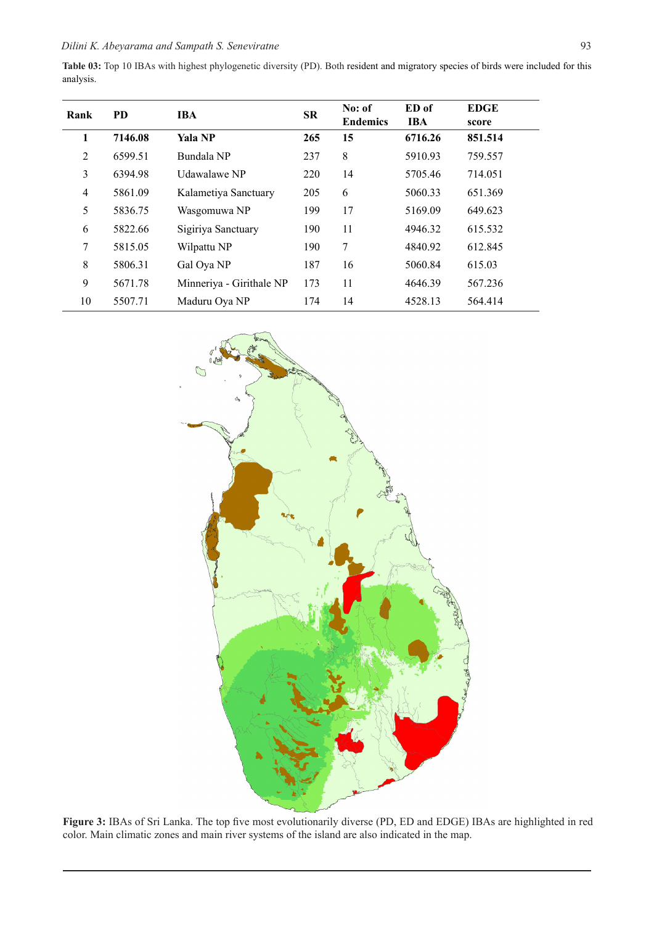|           |  |  | Table 03: Top 10 IBAs with highest phylogenetic diversity (PD). Both resident and migratory species of birds were included for this |  |  |  |
|-----------|--|--|-------------------------------------------------------------------------------------------------------------------------------------|--|--|--|
| analysis. |  |  |                                                                                                                                     |  |  |  |

| Rank | <b>PD</b> | <b>IBA</b>               | <b>SR</b> | No: of<br><b>Endemics</b> | ED of<br><b>IBA</b> | <b>EDGE</b><br>score |
|------|-----------|--------------------------|-----------|---------------------------|---------------------|----------------------|
| 1    | 7146.08   | Yala NP                  | 265       | 15                        | 6716.26             | 851.514              |
| 2    | 6599.51   | Bundala NP               | 237       | 8                         | 5910.93             | 759.557              |
| 3    | 6394.98   | Udawalawe NP             | 220       | 14                        | 5705.46             | 714.051              |
| 4    | 5861.09   | Kalametiya Sanctuary     | 205       | 6                         | 5060.33             | 651.369              |
| 5    | 5836.75   | Wasgomuwa NP             | 199       | 17                        | 5169.09             | 649.623              |
| 6    | 5822.66   | Sigiriya Sanctuary       | 190       | 11                        | 4946.32             | 615.532              |
| 7    | 5815.05   | Wilpattu NP              | 190       | 7                         | 4840.92             | 612.845              |
| 8    | 5806.31   | Gal Oya NP               | 187       | 16                        | 5060.84             | 615.03               |
| 9    | 5671.78   | Minneriya - Girithale NP | 173       | 11                        | 4646.39             | 567.236              |
| 10   | 5507.71   | Maduru Oya NP            | 174       | 14                        | 4528.13             | 564.414              |



**Figure 3:** IBAs of Sri Lanka. The top five most evolutionarily diverse (PD, ED and EDGE) IBAs are highlighted in red color. Main climatic zones and main river systems of the island are also indicated in the map.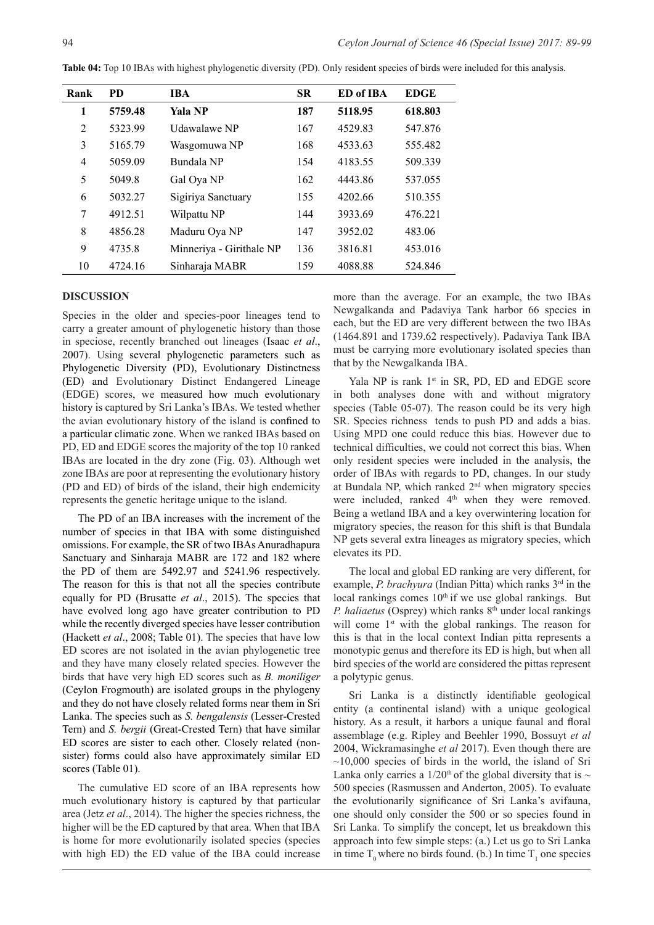| Rank           | <b>PD</b> | <b>IBA</b>               | <b>SR</b> | ED of IBA | <b>EDGE</b> |
|----------------|-----------|--------------------------|-----------|-----------|-------------|
| 1              | 5759.48   | <b>Yala NP</b>           | 187       | 5118.95   | 618.803     |
| 2              | 5323.99   | Udawalawe NP             | 167       | 4529.83   | 547.876     |
| 3              | 5165.79   | Wasgomuwa NP             | 168       | 4533.63   | 555.482     |
| $\overline{4}$ | 5059.09   | Bundala NP               | 154       | 4183.55   | 509.339     |
| 5              | 5049.8    | Gal Oya NP               | 162       | 4443.86   | 537.055     |
| 6              | 5032.27   | Sigiriya Sanctuary       | 155       | 4202.66   | 510.355     |
| 7              | 4912.51   | Wilpattu NP              | 144       | 3933.69   | 476.221     |
| 8              | 4856.28   | Maduru Oya NP            | 147       | 3952.02   | 483.06      |
| 9              | 4735.8    | Minneriya - Girithale NP | 136       | 3816.81   | 453.016     |
| 10             | 4724.16   | Sinharaja MABR           | 159       | 4088.88   | 524.846     |

**Table 04:** Top 10 IBAs with highest phylogenetic diversity (PD). Only resident species of birds were included for this analysis.

#### **DISCUSSION**

Species in the older and species-poor lineages tend to carry a greater amount of phylogenetic history than those in speciose, recently branched out lineages (Isaac *et al*., 2007). Using several phylogenetic parameters such as Phylogenetic Diversity (PD), Evolutionary Distinctness (ED) and Evolutionary Distinct Endangered Lineage (EDGE) scores, we measured how much evolutionary history is captured by Sri Lanka's IBAs. We tested whether the avian evolutionary history of the island is confined to a particular climatic zone. When we ranked IBAs based on PD, ED and EDGE scores the majority of the top 10 ranked IBAs are located in the dry zone (Fig. 03). Although wet zone IBAs are poor at representing the evolutionary history (PD and ED) of birds of the island, their high endemicity represents the genetic heritage unique to the island.

The PD of an IBA increases with the increment of the number of species in that IBA with some distinguished omissions. For example, the SR of two IBAs Anuradhapura Sanctuary and Sinharaja MABR are 172 and 182 where the PD of them are 5492.97 and 5241.96 respectively. The reason for this is that not all the species contribute equally for PD (Brusatte *et al*., 2015). The species that have evolved long ago have greater contribution to PD while the recently diverged species have lesser contribution (Hackett *et al*., 2008; Table 01). The species that have low ED scores are not isolated in the avian phylogenetic tree and they have many closely related species. However the birds that have very high ED scores such as *B. moniliger*  (Ceylon Frogmouth) are isolated groups in the phylogeny and they do not have closely related forms near them in Sri Lanka. The species such as *S. bengalensis* (Lesser-Crested Tern) and *S. bergii* (Great-Crested Tern) that have similar ED scores are sister to each other. Closely related (nonsister) forms could also have approximately similar ED scores (Table 01).

The cumulative ED score of an IBA represents how much evolutionary history is captured by that particular area (Jetz *et al*., 2014). The higher the species richness, the higher will be the ED captured by that area. When that IBA is home for more evolutionarily isolated species (species with high ED) the ED value of the IBA could increase

more than the average. For an example, the two IBAs Newgalkanda and Padaviya Tank harbor 66 species in each, but the ED are very different between the two IBAs (1464.891 and 1739.62 respectively). Padaviya Tank IBA must be carrying more evolutionary isolated species than that by the Newgalkanda IBA.

Yala NP is rank 1<sup>st</sup> in SR, PD, ED and EDGE score in both analyses done with and without migratory species (Table 05-07). The reason could be its very high SR. Species richness tends to push PD and adds a bias. Using MPD one could reduce this bias. However due to technical difficulties, we could not correct this bias. When only resident species were included in the analysis, the order of IBAs with regards to PD, changes. In our study at Bundala NP, which ranked  $2<sup>nd</sup>$  when migratory species were included, ranked 4<sup>th</sup> when they were removed. Being a wetland IBA and a key overwintering location for migratory species, the reason for this shift is that Bundala NP gets several extra lineages as migratory species, which elevates its PD.

The local and global ED ranking are very different, for example, *P. brachyura* (Indian Pitta) which ranks 3<sup>rd</sup> in the local rankings comes  $10<sup>th</sup>$  if we use global rankings. But *P. haliaetus* (Osprey) which ranks 8<sup>th</sup> under local rankings will come 1<sup>st</sup> with the global rankings. The reason for this is that in the local context Indian pitta represents a monotypic genus and therefore its ED is high, but when all bird species of the world are considered the pittas represent a polytypic genus.

Sri Lanka is a distinctly identifiable geological entity (a continental island) with a unique geological history. As a result, it harbors a unique faunal and floral assemblage (e.g. Ripley and Beehler 1990, Bossuyt *et al* 2004, Wickramasinghe *et al* 2017). Even though there are  $\sim$ 10,000 species of birds in the world, the island of Sri Lanka only carries a  $1/20<sup>th</sup>$  of the global diversity that is  $\sim$ 500 species (Rasmussen and Anderton, 2005). To evaluate the evolutionarily significance of Sri Lanka's avifauna, one should only consider the 500 or so species found in Sri Lanka. To simplify the concept, let us breakdown this approach into few simple steps: (a.) Let us go to Sri Lanka in time  $T_0$  where no birds found. (b.) In time  $T_1$  one species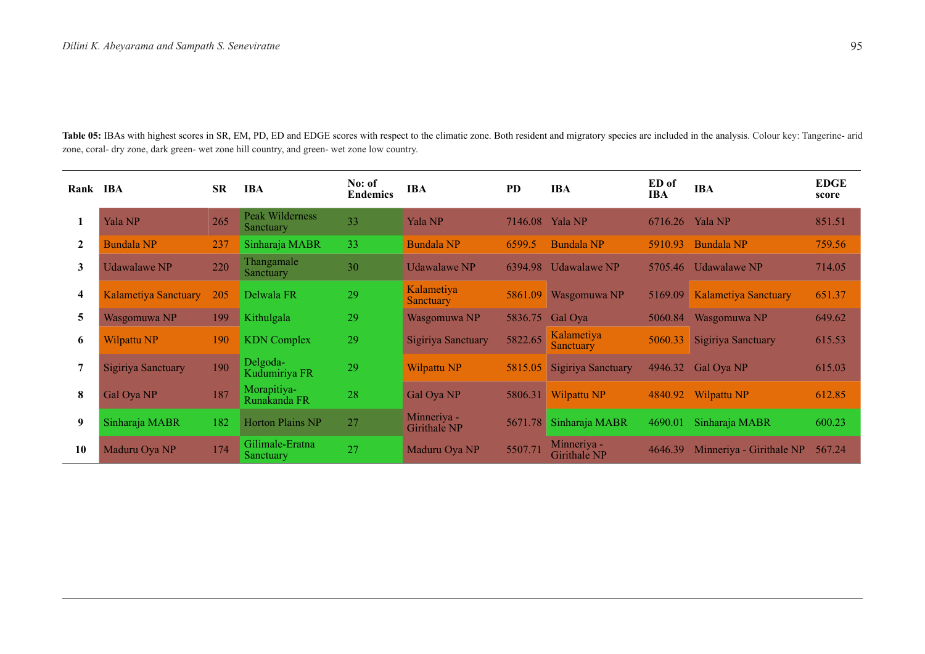Table 05: IBAs with highest scores in SR, EM, PD, ED and EDGE scores with respect to the climatic zone. Both resident and migratory species are included in the analysis. Colour key: Tangerine- arid zone, coral- dry zone, dark green- wet zone hill country, and green- wet zone low country.

| Rank IBA                |                             | <b>SR</b> | <b>IBA</b>                   | No: of<br><b>Endemics</b> | <b>IBA</b>                     | <b>PD</b> | <b>IBA</b>                         | ED of<br><b>IBA</b> | <b>IBA</b>                  | <b>EDGE</b><br>score |
|-------------------------|-----------------------------|-----------|------------------------------|---------------------------|--------------------------------|-----------|------------------------------------|---------------------|-----------------------------|----------------------|
|                         | Yala NP                     | 265       | Peak Wilderness<br>Sanctuary | 33                        | Yala NP                        |           | 7146.08 Yala NP                    | 6716.26             | Yala NP                     | 851.51               |
| $\mathbf{2}$            | <b>Bundala NP</b>           | 237       | Sinharaja MABR               | 33                        | <b>Bundala NP</b>              | 6599.5    | <b>Bundala NP</b>                  | 5910.93             | Bundala NP                  | 759.56               |
| $\mathbf{3}$            | <b>Udawalawe NP</b>         | 220       | Thangamale<br>Sanctuary      | 30                        | <b>Udawalawe NP</b>            |           | 6394.98 Udawalawe NP               | 5705.46             | <b>Udawalawe NP</b>         | 714.05               |
| $\overline{\mathbf{4}}$ | <b>Kalametiya Sanctuary</b> | 205       | Delwala FR                   | 29                        | Kalametiya<br><b>Sanctuary</b> | 5861.09   | Wasgomuwa NP                       | 5169.09             | <b>Kalametiya Sanctuary</b> | 651.37               |
| 5                       | Wasgomuwa NP                | 199       | Kithulgala                   | 29                        | Wasgomuwa NP                   |           | 5836.75 Gal Oya                    | 5060.84             | Wasgomuwa NP                | 649.62               |
| 6                       | Wilpattu NP                 | 190       | <b>KDN</b> Complex           | 29                        | Sigiriya Sanctuary             | 5822.65   | Kalametiya<br><b>Sanctuary</b>     | 5060.33             | Sigiriya Sanctuary          | 615.53               |
| 7                       | Sigiriya Sanctuary          | 190       | Delgoda-<br>Kudumiriya FR    | 29                        | Wilpattu NP                    | 5815.05   | Sigiriya Sanctuary                 |                     | 4946.32 Gal Oya NP          | 615.03               |
| 8                       | Gal Oya NP                  | 187       | Morapitiya-<br>Runakanda FR  | 28                        | Gal Oya NP                     |           | 5806.31 Wilpattu NP                | 4840.92             | <b>Wilpattu NP</b>          | 612.85               |
| 9                       | Sinharaja MABR              | 182       | <b>Horton Plains NP</b>      | 27                        | Minneriya -<br>Girithale NP    |           | 5671.78 Sinharaja MABR             | 4690.01             | Sinharaja MABR              | 600.23               |
| 10                      | Maduru Oya NP               | 174       | Gilimale-Eratna<br>Sanctuary | 27                        | Maduru Oya NP                  | 5507.7    | Minneriya -<br><b>Girithale NP</b> | 4646.39             | Minneriya - Girithale NP    | 567.24               |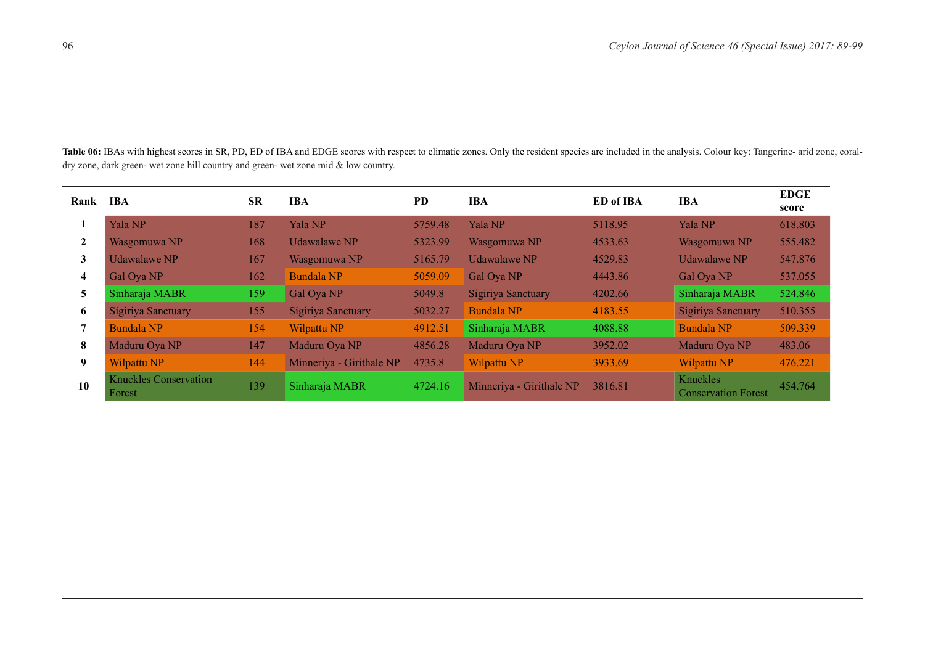Table 06: IBAs with highest scores in SR, PD, ED of IBA and EDGE scores with respect to climatic zones. Only the resident species are included in the analysis. Colour key: Tangerine- arid zone, coraldry zone, dark green- wet zone hill country and green- wet zone mid & low country.

| Rank                    | <b>IBA</b>                             | <b>SR</b> | IBA                      | <b>PD</b> | <b>IBA</b>               | <b>ED</b> of IBA | <b>IBA</b>                             | <b>EDGE</b><br>score |
|-------------------------|----------------------------------------|-----------|--------------------------|-----------|--------------------------|------------------|----------------------------------------|----------------------|
|                         | Yala NP                                | 187       | Yala NP                  | 5759.48   | Yala NP                  | 5118.95          | <b>Yala NP</b>                         | 618.803              |
| $\mathbf{2}$            | Wasgomuwa NP                           | 168       | <b>Udawalawe NP</b>      | 5323.99   | Wasgomuwa NP             | 4533.63          | Wasgomuwa NP                           | 555.482              |
| 3                       | <b>Udawalawe NP</b>                    | 167       | Wasgomuwa NP             | 5165.79   | <b>Udawalawe NP</b>      | 4529.83          | <b>Udawalawe NP</b>                    | 547.876              |
| $\overline{\mathbf{4}}$ | Gal Oya NP                             | 162       | <b>Bundala NP</b>        | 5059.09   | Gal Oya NP               | 4443.86          | Gal Oya NP                             | 537.055              |
| 5                       | Sinharaja MABR                         | 159       | Gal Oya NP               | 5049.8    | Sigiriya Sanctuary       | 4202.66          | Sinharaja MABR                         | 524.846              |
| 6                       | Sigiriya Sanctuary                     | 155       | Sigiriya Sanctuary       | 5032.27   | <b>Bundala NP</b>        | 4183.55          | Sigiriya Sanctuary                     | 510.355              |
| 7                       | <b>Bundala NP</b>                      | 154       | Wilpattu <sub>NP</sub>   | 4912.51   | Sinharaja MABR           | 4088.88          | <b>Bundala NP</b>                      | 509.339              |
| 8                       | Maduru Oya NP                          | 147       | Maduru Oya NP            | 4856.28   | Maduru Oya NP            | 3952.02          | Maduru Oya NP                          | 483.06               |
| 9                       | Wilpattu NP                            | 144       | Minneriya - Girithale NP | 4735.8    | <b>Wilpattu NP</b>       | 3933.69          | Wilpattu NP                            | 476.221              |
| 10                      | <b>Knuckles Conservation</b><br>Forest | 139       | Sinharaja MABR           | 4724.16   | Minneriya - Girithale NP | 3816.81          | Knuckles<br><b>Conservation Forest</b> | 454.764              |

 $\overline{\phantom{a}}$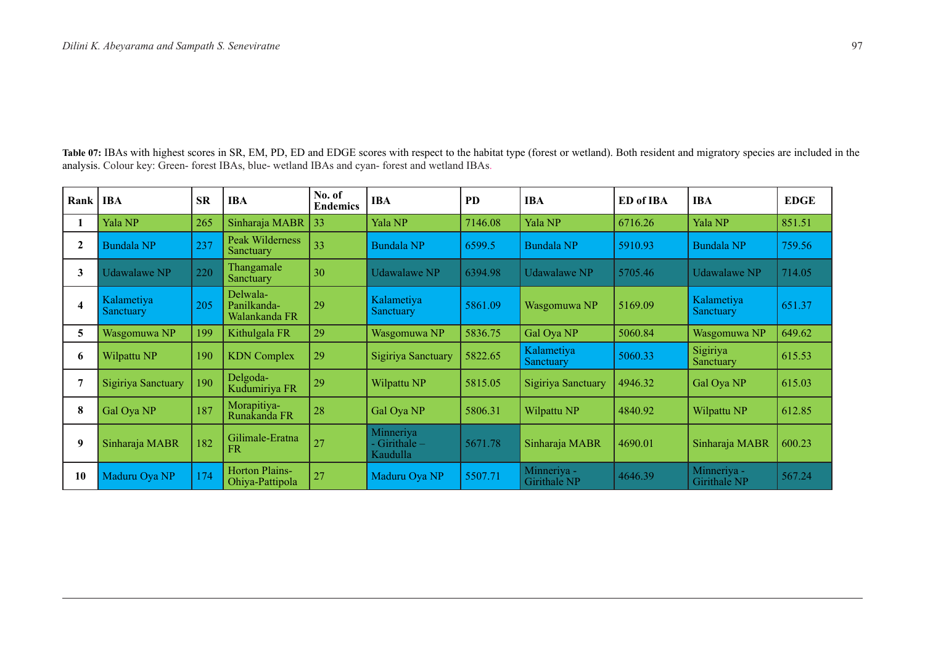Table 07: IBAs with highest scores in SR, EM, PD, ED and EDGE scores with respect to the habitat type (forest or wetland). Both resident and migratory species are included in the analysis. Colour key: Green- forest IBAs, blue- wetland IBAs and cyan- forest and wetland IBAs.

| Rank   IBA              |                                | <b>SR</b> | <b>IBA</b>                               | No. of<br><b>Endemics</b> | <b>IBA</b>                               | <b>PD</b> | <b>IBA</b>                  | <b>ED</b> of IBA | <b>IBA</b>                  | <b>EDGE</b> |
|-------------------------|--------------------------------|-----------|------------------------------------------|---------------------------|------------------------------------------|-----------|-----------------------------|------------------|-----------------------------|-------------|
|                         | Yala NP                        | 265       | Sinharaja MABR                           | 33                        | Yala NP                                  | 7146.08   | Yala NP                     | 6716.26          | Yala NP                     | 851.51      |
| $\mathbf{2}$            | <b>Bundala NP</b>              | 237       | <b>Peak Wilderness</b><br>Sanctuary      | 33                        | <b>Bundala NP</b>                        | 6599.5    | Bundala NP                  | 5910.93          | Bundala NP                  | 759.56      |
| 3                       | <b>Udawalawe NP</b>            | 220       | Thangamale<br>Sanctuary                  | 30                        | Udawalawe NP                             | 6394.98   | Udawalawe NP                | 5705.46          | Udawalawe NP                | 714.05      |
| $\overline{\mathbf{4}}$ | Kalametiya<br><b>Sanctuary</b> | 205       | Delwala-<br>Panilkanda-<br>Walankanda FR | 29                        | Kalametiya<br>Sanctuary                  | 5861.09   | Wasgomuwa NP                | 5169.09          | Kalametiya<br>Sanctuary     | 651.37      |
| 5                       | Wasgomuwa NP                   | 199       | Kithulgala FR                            | 29                        | Wasgomuwa NP                             | 5836.75   | Gal Oya NP                  | 5060.84          | Wasgomuwa NP                | 649.62      |
| 6                       | Wilpattu NP                    | 190       | <b>KDN</b> Complex                       | 29                        | Sigiriya Sanctuary                       | 5822.65   | Kalametiya<br>Sanctuary     | 5060.33          | Sigiriya<br>Sanctuary       | 615.53      |
|                         | Sigiriya Sanctuary             | 190       | Delgoda-<br>Kudumiriya FR                | 29                        | Wilpattu NP                              | 5815.05   | Sigiriya Sanctuary          | 4946.32          | Gal Oya NP                  | 615.03      |
| 8                       | Gal Oya NP                     | 187       | Morapitiya-<br>Runakanda FR              | 28                        | Gal Oya NP                               | 5806.31   | Wilpattu NP                 | 4840.92          | Wilpattu NP                 | 612.85      |
| 9                       | Sinharaja MABR                 | 182       | Gilimale-Eratna<br><b>FR</b>             | 27                        | Minneriya<br>- Girithale $-$<br>Kaudulla | 5671.78   | Sinharaja MABR              | 4690.01          | Sinharaja MABR              | 600.23      |
| 10                      | Maduru Oya NP                  | 174       | <b>Horton Plains-</b><br>Ohiya-Pattipola | 27                        | Maduru Oya NP                            | 5507.71   | Minneriya -<br>Girithale NP | 4646.39          | Minneriya -<br>Girithale NP | 567.24      |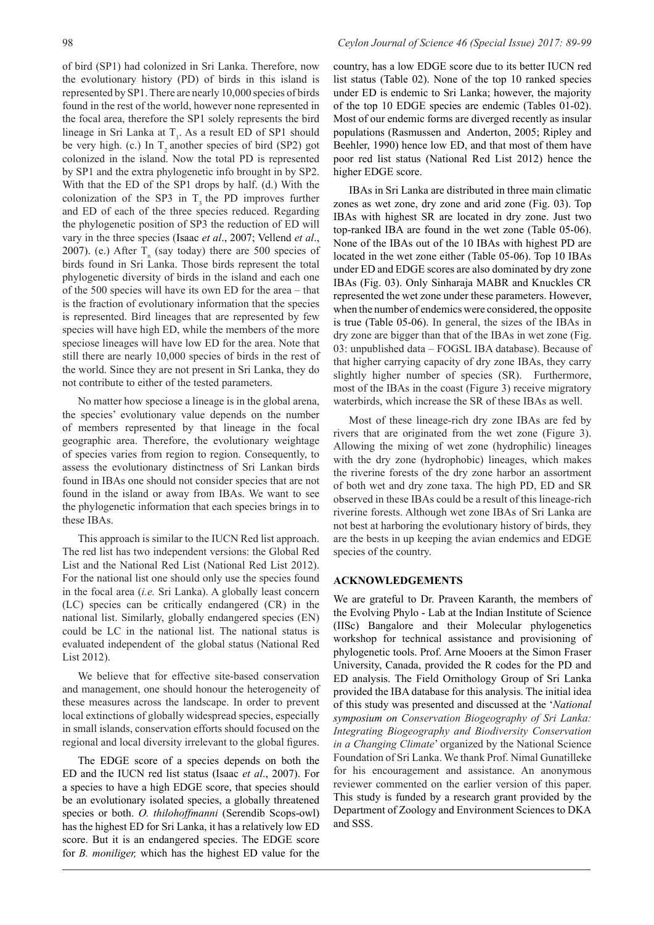of bird (SP1) had colonized in Sri Lanka. Therefore, now the evolutionary history (PD) of birds in this island is represented by SP1. There are nearly 10,000 species of birds found in the rest of the world, however none represented in the focal area, therefore the SP1 solely represents the bird lineage in Sri Lanka at  $T_1$ . As a result ED of SP1 should be very high. (c.) In  $T_2$  another species of bird (SP2) got colonized in the island. Now the total PD is represented by SP1 and the extra phylogenetic info brought in by SP2. With that the ED of the SP1 drops by half. (d.) With the colonization of the SP3 in  $T$ , the PD improves further and ED of each of the three species reduced. Regarding the phylogenetic position of SP3 the reduction of ED will vary in the three species (Isaac *et al*., 2007; Vellend *et al*., 2007). (e.) After  $T_{n}$  (say today) there are 500 species of birds found in Sri Lanka. Those birds represent the total phylogenetic diversity of birds in the island and each one of the 500 species will have its own ED for the area – that is the fraction of evolutionary information that the species is represented. Bird lineages that are represented by few species will have high ED, while the members of the more speciose lineages will have low ED for the area. Note that still there are nearly 10,000 species of birds in the rest of the world. Since they are not present in Sri Lanka, they do not contribute to either of the tested parameters.

No matter how speciose a lineage is in the global arena, the species' evolutionary value depends on the number of members represented by that lineage in the focal geographic area. Therefore, the evolutionary weightage of species varies from region to region. Consequently, to assess the evolutionary distinctness of Sri Lankan birds found in IBAs one should not consider species that are not found in the island or away from IBAs. We want to see the phylogenetic information that each species brings in to these IBAs.

This approach is similar to the IUCN Red list approach. The red list has two independent versions: the Global Red List and the National Red List (National Red List 2012). For the national list one should only use the species found in the focal area (*i.e.* Sri Lanka). A globally least concern (LC) species can be critically endangered (CR) in the national list. Similarly, globally endangered species (EN) could be LC in the national list. The national status is evaluated independent of the global status (National Red List 2012).

We believe that for effective site-based conservation and management, one should honour the heterogeneity of these measures across the landscape. In order to prevent local extinctions of globally widespread species, especially in small islands, conservation efforts should focused on the regional and local diversity irrelevant to the global figures.

The EDGE score of a species depends on both the ED and the IUCN red list status (Isaac *et al*., 2007). For a species to have a high EDGE score, that species should be an evolutionary isolated species, a globally threatened species or both. *O. thilohoffmanni* (Serendib Scops-owl) has the highest ED for Sri Lanka, it has a relatively low ED score. But it is an endangered species. The EDGE score for *B. moniliger,* which has the highest ED value for the

#### 98 *Ceylon Journal of Science 46 (Special Issue) 2017: 89-99*

country, has a low EDGE score due to its better IUCN red list status (Table 02). None of the top 10 ranked species under ED is endemic to Sri Lanka; however, the majority of the top 10 EDGE species are endemic (Tables 01-02). Most of our endemic forms are diverged recently as insular populations (Rasmussen and Anderton, 2005; Ripley and Beehler, 1990) hence low ED, and that most of them have poor red list status (National Red List 2012) hence the higher EDGE score.

IBAs in Sri Lanka are distributed in three main climatic zones as wet zone, dry zone and arid zone (Fig. 03). Top IBAs with highest SR are located in dry zone. Just two top-ranked IBA are found in the wet zone (Table 05-06). None of the IBAs out of the 10 IBAs with highest PD are located in the wet zone either (Table 05-06). Top 10 IBAs under ED and EDGE scores are also dominated by dry zone IBAs (Fig. 03). Only Sinharaja MABR and Knuckles CR represented the wet zone under these parameters. However, when the number of endemics were considered, the opposite is true (Table 05-06). In general, the sizes of the IBAs in dry zone are bigger than that of the IBAs in wet zone (Fig. 03: unpublished data – FOGSL IBA database). Because of that higher carrying capacity of dry zone IBAs, they carry slightly higher number of species (SR). Furthermore, most of the IBAs in the coast (Figure 3) receive migratory waterbirds, which increase the SR of these IBAs as well.

Most of these lineage-rich dry zone IBAs are fed by rivers that are originated from the wet zone (Figure 3). Allowing the mixing of wet zone (hydrophilic) lineages with the dry zone (hydrophobic) lineages, which makes the riverine forests of the dry zone harbor an assortment of both wet and dry zone taxa. The high PD, ED and SR observed in these IBAs could be a result of this lineage-rich riverine forests. Although wet zone IBAs of Sri Lanka are not best at harboring the evolutionary history of birds, they are the bests in up keeping the avian endemics and EDGE species of the country.

#### **ACKNOWLEDGEMENTS**

We are grateful to Dr. Praveen Karanth, the members of the Evolving Phylo - Lab at the Indian Institute of Science (IISc) Bangalore and their Molecular phylogenetics workshop for technical assistance and provisioning of phylogenetic tools. Prof. Arne Mooers at the Simon Fraser University, Canada, provided the R codes for the PD and ED analysis. The Field Ornithology Group of Sri Lanka provided the IBA database for this analysis. The initial idea of this study was presented and discussed at the '*National symposium on Conservation Biogeography of Sri Lanka: Integrating Biogeography and Biodiversity Conservation in a Changing Climate*' organized by the National Science Foundation of Sri Lanka. We thank Prof. Nimal Gunatilleke for his encouragement and assistance. An anonymous reviewer commented on the earlier version of this paper. This study is funded by a research grant provided by the Department of Zoology and Environment Sciences to DKA and SSS.